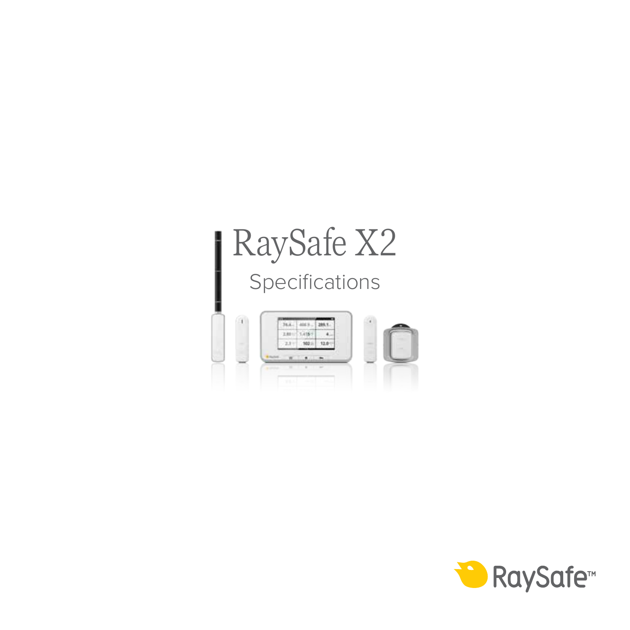# RaySafe X2 Specifications



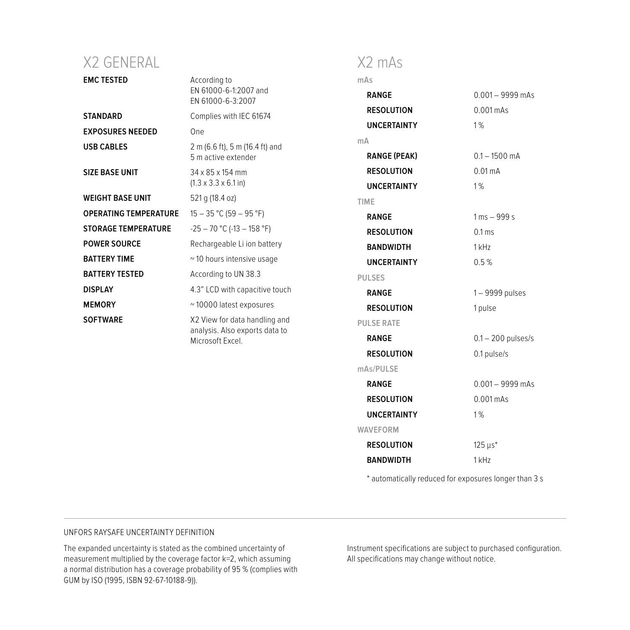## X2 GENERAL

| <b>EMC TESTED</b>            | According to<br>EN 61000-6-1:2007 and<br>EN 61000-6-3:2007                          | mAs                 |                                |
|------------------------------|-------------------------------------------------------------------------------------|---------------------|--------------------------------|
|                              |                                                                                     | <b>RANGE</b>        | $0.001 - 9999$ mAs             |
| STANDARD                     | Complies with IEC 61674                                                             | <b>RESOLUTION</b>   | $0.001$ mAs                    |
| <b>EXPOSURES NEEDED</b>      | One                                                                                 | <b>UNCERTAINTY</b>  | 1%                             |
| <b>USB CABLES</b>            | 2 m (6.6 ft), 5 m (16.4 ft) and                                                     | mA                  |                                |
|                              | 5 m active extender                                                                 | <b>RANGE (PEAK)</b> | $0.1 - 1500$ mA                |
| SIZE BASE UNIT               | 34 x 85 x 154 mm<br>$(1.3 \times 3.3 \times 6.1)$ in)                               | <b>RESOLUTION</b>   | $0.01 \text{ mA}$              |
|                              |                                                                                     | <b>UNCERTAINTY</b>  | 1%                             |
| WEIGHT BASE UNIT             | 521 g (18.4 oz)                                                                     | TIME                |                                |
| <b>OPERATING TEMPERATURE</b> | $15 - 35 °C (59 - 95 °F)$                                                           | <b>RANGE</b>        | $1 \text{ ms} - 999 \text{ s}$ |
| <b>STORAGE TEMPERATURE</b>   | $-25 - 70$ °C (-13 - 158 °F)                                                        | <b>RESOLUTION</b>   | $0.1 \text{ ms}$               |
| <b>POWER SOURCE</b>          | Rechargeable Li ion battery                                                         | <b>BANDWIDTH</b>    | $1$ kHz                        |
| <b>BATTERY TIME</b>          | ~10 hours intensive usage                                                           | <b>UNCERTAINTY</b>  | 0.5%                           |
| <b>BATTERY TESTED</b>        | According to UN 38.3                                                                | <b>PULSES</b>       |                                |
| <b>DISPLAY</b>               | 4.3" LCD with capacitive touch                                                      | <b>RANGE</b>        | 1-9999 pulses                  |
| <b>MEMORY</b>                | ~10000 latest exposures                                                             | <b>RESOLUTION</b>   | 1 pulse                        |
| <b>SOFTWARE</b>              | X2 View for data handling and<br>analysis. Also exports data to<br>Microsoft Excel. | <b>PULSE RATE</b>   |                                |
|                              |                                                                                     | <b>RANGE</b>        | $0.1 - 200$ pulses/s           |
|                              |                                                                                     | <b>RESOLUTION</b>   | 0.1 pulse/s                    |
|                              |                                                                                     | mAs/PULSE           |                                |
|                              |                                                                                     | <b>RANGE</b>        | $0.001 - 9999$ mAs             |
|                              |                                                                                     | <b>RESOLUTION</b>   | $0.001$ mAs                    |
|                              |                                                                                     | <b>UNCERTAINTY</b>  | 1%                             |
|                              |                                                                                     | WAVEFORM            |                                |
|                              |                                                                                     | <b>RESOLUTION</b>   | 125 us*                        |
|                              |                                                                                     | <b>BANDWIDTH</b>    | 1 kHz                          |

X2 mAs

\* automatically reduced for exposures longer than 3 s

#### UNFORS RAYSAFE UNCERTAINTY DEFINITION

The expanded uncertainty is stated as the combined uncertainty of measurement multiplied by the coverage factor k=2, which assuming a normal distribution has a coverage probability of 95 % (complies with GUM by ISO (1995, ISBN 92-67-10188-9)).

Instrument specifications are subject to purchased configuration. All specifications may change without notice.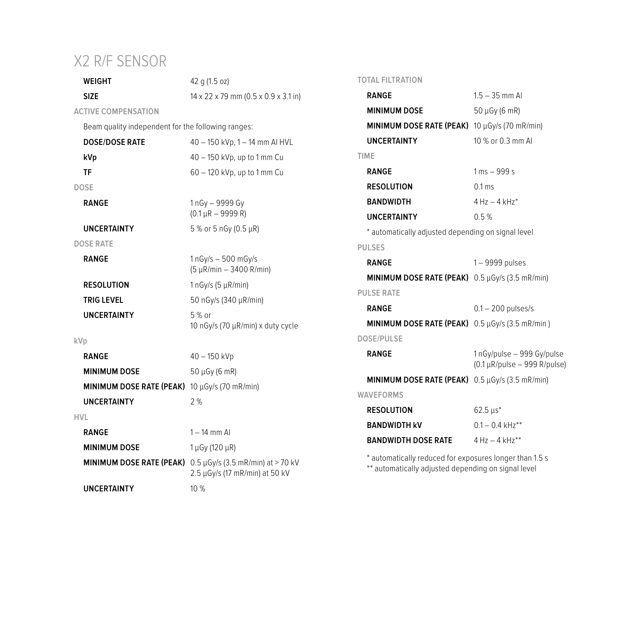## X2 R/F SENSOR

**WEIGHT** 42 g (1.5 oz)

**SIZE** 14 x 22 x 79 mm (0.5 x 0.9 x 3.1 in)

2.5 µGy/s (17 mR/min) at 50 kV

**ACTIVE COMPENSATION** 

Beam quality independent for the following ranges:

| <b>DOSE/DOSE RATE</b>           | 40 - 150 kVp, 1 - 14 mm AI HVL                       |
|---------------------------------|------------------------------------------------------|
| kVp                             | 40 - 150 kVp, up to 1 mm Cu                          |
| TF                              | 60 - 120 kVp, up to 1 mm Cu                          |
| <b>DOSE</b>                     |                                                      |
| <b>RANGE</b>                    | 1 nGv - 9999 Gv<br>$(0.1 \mu R - 9999 R)$            |
| <b>UNCERTAINTY</b>              | 5 % or 5 nGy (0.5 µR)                                |
| <b>DOSE RATE</b>                |                                                      |
| <b>RANGE</b>                    | $1nGv/s - 500 mGv/s$<br>$(5 \mu R/min - 3400 R/min)$ |
| <b>RESOLUTION</b>               | 1 nGy/s (5 $\mu$ R/min)                              |
| <b>TRIG LEVEL</b>               | 50 nGy/s (340 µR/min)                                |
| <b>UNCERTAINTY</b>              | $5%$ or<br>10 nGy/s (70 µR/min) x duty cycle         |
| kVp                             |                                                      |
| <b>RANGE</b>                    | 40 - 150 kVp                                         |
| <b>MINIMUM DOSE</b>             | $50 \mu Gy (6 \ mR)$                                 |
| MINIMUM DOSE RATE (PEAK)        | 10 $\mu$ Gy/s (70 mR/min)                            |
| <b>UNCERTAINTY</b>              | 2%                                                   |
| HVL                             |                                                      |
| <b>RANGE</b>                    | $1 - 14$ mm Al                                       |
| <b>MINIMUM DOSE</b>             | 1 μGy (120 μR)                                       |
| <b>MINIMUM DOSE RATE (PEAK)</b> | $0.5 \,\mu$ Gy/s (3.5 mR/min) at > 70 kV             |

**UNCERTAINTY** 10 %

### **TOTAL FILTRATION**

| $1.5 - 35$ mm Al<br><b>RANGE</b>                            |                                                                 |  |
|-------------------------------------------------------------|-----------------------------------------------------------------|--|
| <b>MINIMUM DOSE</b>                                         | 50 µGy (6 mR)                                                   |  |
| MINIMUM DOSE RATE (PEAK) 10 µGy/s (70 mR/min)               |                                                                 |  |
| <b>UNCERTAINTY</b>                                          | 10 % or 0.3 mm Al                                               |  |
| TIME                                                        |                                                                 |  |
| <b>RANGE</b>                                                | $1 \text{ ms} - 999 \text{ s}$                                  |  |
| <b>RESOLUTION</b>                                           | $0.1 \text{ ms}$                                                |  |
| <b>BANDWIDTH</b>                                            | $4 Hz - 4 kHz*$                                                 |  |
| <b>UNCERTAINTY</b>                                          | 0.5%                                                            |  |
| * automatically adjusted depending on signal level          |                                                                 |  |
| <b>PULSES</b>                                               |                                                                 |  |
| <b>RANGE</b>                                                | 1-9999 pulses                                                   |  |
| MINIMUM DOSE RATE (PEAK) 0.5 µGy/s (3.5 mR/min)             |                                                                 |  |
| <b>PULSE RATE</b>                                           |                                                                 |  |
| <b>RANGE</b>                                                | $0.1 - 200$ pulses/s                                            |  |
| MINIMUM DOSE RATE (PEAK) 0.5 µGy/s (3.5 mR/min)             |                                                                 |  |
| <b>DOSE/PULSE</b>                                           |                                                                 |  |
| <b>RANGE</b>                                                | 1nGy/pulse - 999 Gy/pulse<br>$(0.1 \mu R$ /pulse - 999 R/pulse) |  |
| <b>MINIMUM DOSE RATE (PEAK)</b> $0.5 \mu$ Gy/s (3.5 mR/min) |                                                                 |  |
| <b>WAVEFORMS</b>                                            |                                                                 |  |
| <b>RESOLUTION</b>                                           | $62.5 \,\mu s^*$                                                |  |
| <b>BANDWIDTH KV</b>                                         | $0.1 - 0.4$ kHz <sup>**</sup>                                   |  |
| <b>BANDWIDTH DOSE RATE</b>                                  | $4 H7 - 4 kHz**$                                                |  |
| * automatically reduced for exposures longer than 1.5 s     |                                                                 |  |

\*\* automatically adjusted depending on signal level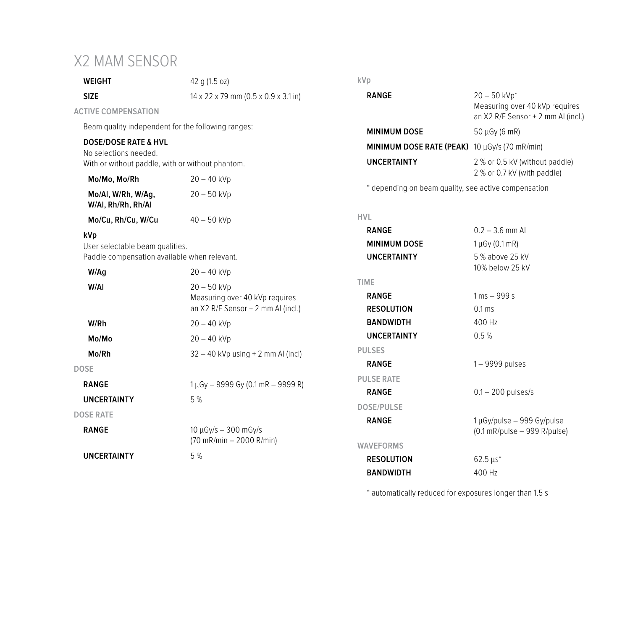## X2 MAM SENSOR

| WEIGHT                                                                                                       | 42 g (1.5 oz)                                                                         | kVp                                                       |
|--------------------------------------------------------------------------------------------------------------|---------------------------------------------------------------------------------------|-----------------------------------------------------------|
| <b>SIZE</b>                                                                                                  | $14 \times 22 \times 79$ mm (0.5 $\times$ 0.9 $\times$ 3.1 in)                        | <b>RANGE</b>                                              |
| <b>ACTIVE COMPENSATION</b>                                                                                   |                                                                                       |                                                           |
| Beam quality independent for the following ranges:                                                           |                                                                                       | <b>MINIMUM DOSE</b>                                       |
| <b>DOSE/DOSE RATE &amp; HVL</b><br>No selections needed.<br>With or without paddle, with or without phantom. |                                                                                       | <b>MINIMUM DOSE</b><br><b>UNCERTAINTY</b>                 |
| Mo/Mo, Mo/Rh                                                                                                 | $20 - 40$ kVp                                                                         |                                                           |
| Mo/AI, W/Rh, W/Aq,<br>W/AI, Rh/Rh, Rh/AI                                                                     | $20 - 50$ kVp                                                                         | * depending on b                                          |
| Mo/Cu, Rh/Cu, W/Cu                                                                                           | $40 - 50$ kVp                                                                         | <b>HVL</b>                                                |
| kVp<br>User selectable beam qualities.<br>Paddle compensation available when relevant.                       |                                                                                       | <b>RANGE</b><br><b>MINIMUM DOSE</b><br><b>UNCERTAINTY</b> |
| W/Aq                                                                                                         | $20 - 40$ kVp                                                                         |                                                           |
| W/AI                                                                                                         | $20 - 50$ kVp<br>Measuring over 40 kVp requires<br>an X2 R/F Sensor + 2 mm AI (incl.) | TIME<br><b>RANGE</b><br><b>RESOLUTION</b>                 |
| W/Rh                                                                                                         | $20 - 40$ kVp                                                                         | <b>BANDWIDTH</b>                                          |
| Mo/Mo                                                                                                        | $20 - 40$ kVp                                                                         | <b>UNCERTAINTY</b>                                        |
| Mo/Rh                                                                                                        | $32 - 40$ kVp using + 2 mm Al (incl)                                                  | <b>PULSES</b>                                             |
| <b>DOSE</b>                                                                                                  |                                                                                       | <b>RANGE</b>                                              |
| <b>RANGE</b>                                                                                                 | $1 \mu Gv - 9999 Gv (0.1 mR - 9999 R)$                                                | <b>PULSE RATE</b><br><b>RANGE</b>                         |
| <b>UNCERTAINTY</b>                                                                                           | 5%                                                                                    | <b>DOSE/PULSE</b>                                         |
| <b>DOSE RATE</b>                                                                                             |                                                                                       | <b>RANGE</b>                                              |
| <b>RANGE</b>                                                                                                 | $10 \mu Gv/s - 300 \mu Gv/s$<br>(70 mR/min - 2000 R/min)                              | <b>WAVEFORMS</b>                                          |
| <b>UNCERTAINTY</b>                                                                                           | 5%                                                                                    | <b>DECALLITIAN</b>                                        |

#### **kVp**

| RANGE                                         | $20 - 50$ kVp <sup>*</sup><br>Measuring over 40 kVp requires<br>an X2 R/F Sensor + 2 mm AI (incl.) |
|-----------------------------------------------|----------------------------------------------------------------------------------------------------|
| <b>MINIMUM DOSE</b>                           | 50 µGy (6 mR)                                                                                      |
| MINIMUM DOSE RATE (PEAK) 10 µGy/s (70 mR/min) |                                                                                                    |
| UNCERTAINTY                                   | 2 % or 0.5 kV (without paddle)<br>2 % or 0.7 kV (with paddle)                                      |

beam quality, see active compensation

|               | <b>RANGE</b>        | $0.2 - 3.6$ mm Al                                             |
|---------------|---------------------|---------------------------------------------------------------|
|               | <b>MINIMUM DOSE</b> | $1 \mu Gy (0.1$ mR)                                           |
|               | <b>UNCERTAINTY</b>  | 5 % above 25 kV<br>10% below 25 kV                            |
|               | <b>TIME</b>         |                                                               |
| p requires    | <b>RANGE</b>        | $1 \,\mathrm{ms} - 999 \,\mathrm{s}$                          |
| nm Al (incl.) | <b>RESOLUTION</b>   | 0.1 <sub>ms</sub>                                             |
|               | <b>BANDWIDTH</b>    | 400 Hz                                                        |
|               | <b>UNCERTAINTY</b>  | 0.5%                                                          |
| mm AI (incl)  | <b>PULSES</b>       |                                                               |
|               | <b>RANGE</b>        | $1 - 9999$ pulses                                             |
| IR – 9999 R)  | <b>PULSE RATE</b>   |                                                               |
|               | <b>RANGE</b>        | $0.1 - 200$ pulses/s                                          |
|               | <b>DOSE/PULSE</b>   |                                                               |
|               | <b>RANGE</b>        | 1µGy/pulse - 999 Gy/pulse<br>$(0.1$ mR/pulse $-$ 999 R/pulse) |
| min)          | <b>WAVEFORMS</b>    |                                                               |
|               | <b>RESOLUTION</b>   | $62.5 \,\mu s^*$                                              |
|               | <b>BANDWIDTH</b>    | 400 Hz                                                        |

\* automatically reduced for exposures longer than 1.5 s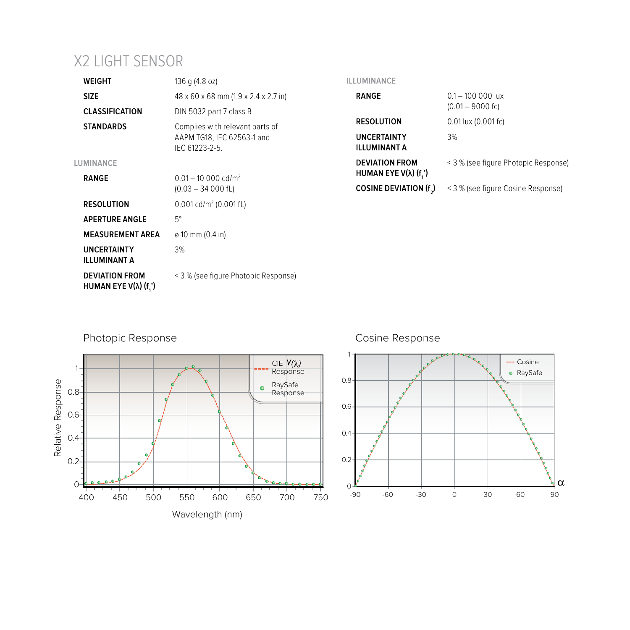## X2 LIGHT SENSOR

| <b>WEIGHT</b>                                         | 136 g (4.8 oz)                                                                 | ILLUMINANCE                                           |                                      |
|-------------------------------------------------------|--------------------------------------------------------------------------------|-------------------------------------------------------|--------------------------------------|
| <b>SIZE</b>                                           | 48 x 60 x 68 mm (1.9 x 2.4 x 2.7 in)                                           | <b>RANGE</b>                                          | $0.1 - 100000$ lux                   |
| <b>CLASSIFICATION</b>                                 | DIN 5032 part 7 class B                                                        | $(0.01 - 9000$ fc)                                    |                                      |
| <b>STANDARDS</b>                                      | Complies with relevant parts of<br>AAPM TG18, IEC 62563-1 and<br>IEC 61223-2-5 | <b>RESOLUTION</b>                                     | 0.01 lux (0.001 fc)                  |
|                                                       |                                                                                | <b>UNCERTAINTY</b><br><b>ILLUMINANT A</b>             | 3%                                   |
| LUMINANCE<br><b>RANGE</b>                             | $0.01 - 10,000$ cd/m <sup>2</sup>                                              | <b>DEVIATION FROM</b><br>HUMAN EYE $V(\lambda)$ (f.') | < 3 % (see figure Photopic Response) |
|                                                       | $(0.03 - 34 000$ fL)                                                           | COSINE DEVIATION (f.)                                 | < 3 % (see figure Cosine Response)   |
| <b>RESOLUTION</b>                                     | $0.001$ cd/m <sup>2</sup> (0.001 fL)                                           |                                                       |                                      |
| <b>APERTURE ANGLE</b>                                 | $5^{\circ}$                                                                    |                                                       |                                      |
| <b>MEASUREMENT AREA</b>                               | $\varphi$ 10 mm (0.4 in)                                                       |                                                       |                                      |
| <b>UNCERTAINTY</b><br><b>ILLUMINANT A</b>             | 3%                                                                             |                                                       |                                      |
| <b>DEVIATION FROM</b><br>HUMAN EYE $V(\lambda)$ (f.') | < 3 % (see figure Photopic Response)                                           |                                                       |                                      |



## Cosine Response

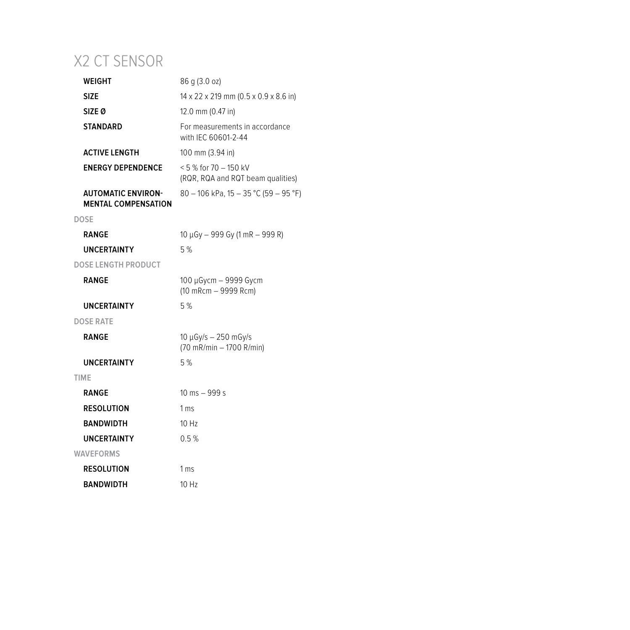## X2 CT SENSOR

| WEIGHT                                                  | 86 g (3.0 oz)                                                  |
|---------------------------------------------------------|----------------------------------------------------------------|
| <b>SIZE</b>                                             | $14 \times 22 \times 219$ mm (0.5 x 0.9 x 8.6 in)              |
| SIZE <sub>0</sub>                                       | 12.0 mm (0.47 in)                                              |
| <b>STANDARD</b>                                         | For measurements in accordance<br>with IEC 60601-2-44          |
| <b>ACTIVE LENGTH</b>                                    | 100 mm (3.94 in)                                               |
| <b>ENERGY DEPENDENCE</b>                                | $< 5$ % for 70 $-$ 150 kV<br>(RQR, RQA and RQT beam qualities) |
| <b>AUTOMATIC ENVIRON-</b><br><b>MENTAL COMPENSATION</b> | 80 - 106 kPa, 15 - 35 °C (59 - 95 °F)                          |
| <b>DOSE</b>                                             |                                                                |
| RANGE                                                   | $10 \mu Gy - 999 Gy (1 mR - 999 R)$                            |
| <b>UNCERTAINTY</b>                                      | 5%                                                             |
| <b>DOSE LENGTH PRODUCT</b>                              |                                                                |
| <b>RANGE</b>                                            | 100 µGycm - 9999 Gycm<br>(10 mRcm - 9999 Rcm)                  |
| <b>UNCERTAINTY</b>                                      | 5%                                                             |
| <b>DOSE RATE</b>                                        |                                                                |
| RANGE                                                   | $10 \mu Gy/s - 250 \mu Gy/s$<br>(70 mR/min - 1700 R/min)       |
| <b>UNCERTAINTY</b>                                      | 5%                                                             |
| <b>TIME</b>                                             |                                                                |
| <b>RANGE</b>                                            | 10 ms $-999 s$                                                 |
| <b>RESOLUTION</b>                                       | 1 <sub>ms</sub>                                                |
| <b>BANDWIDTH</b>                                        | 10H <sub>z</sub>                                               |
| <b>UNCERTAINTY</b>                                      | 0.5%                                                           |
| <b>WAVEFORMS</b>                                        |                                                                |
| <b>RESOLUTION</b>                                       | 1 <sub>ms</sub>                                                |
| BANDWIDTH                                               | 10 Hz                                                          |